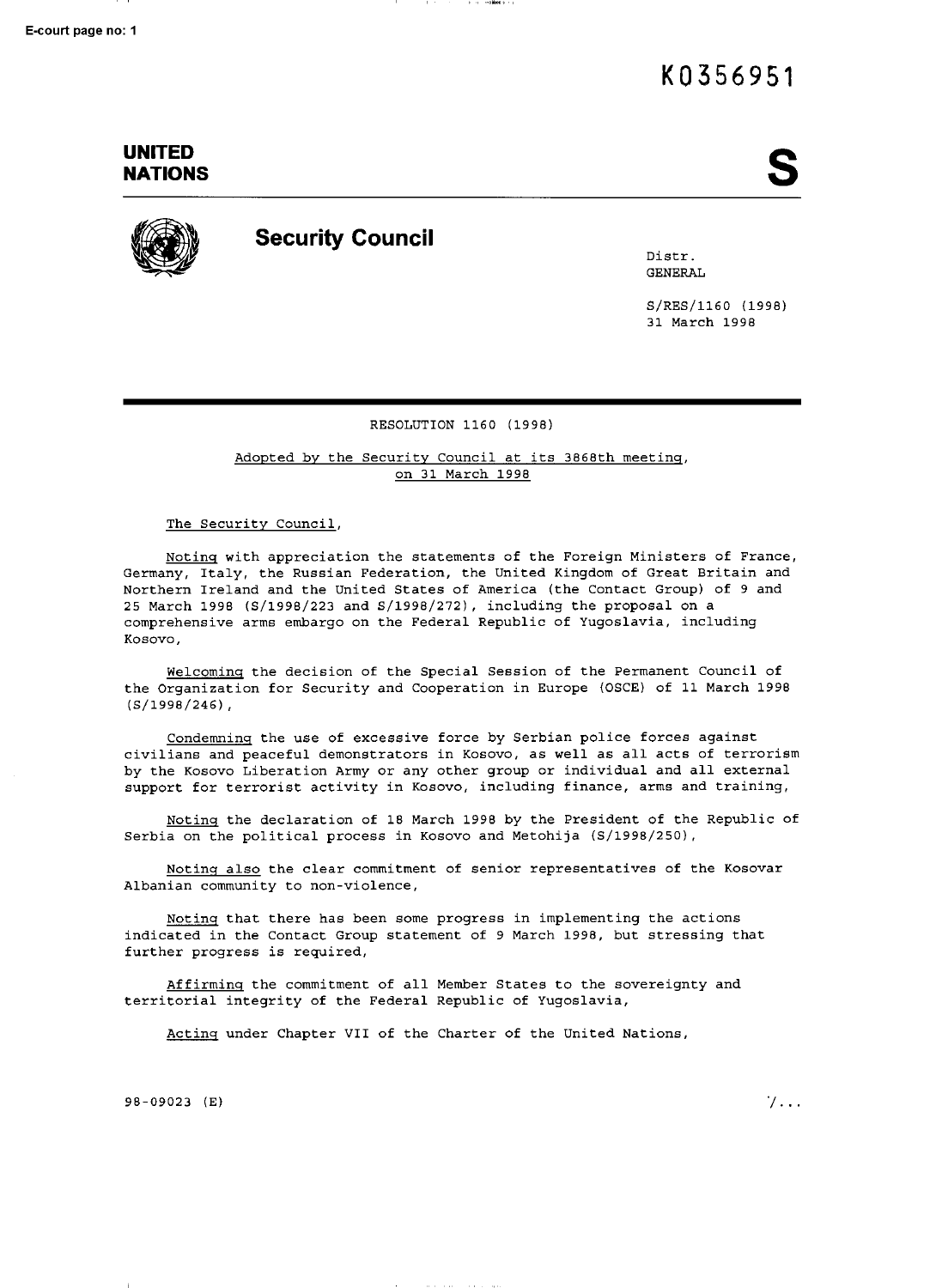#### **UNITED NATIONS**

**s** 



**Security Council** 

Distr. GENERAL

S/RES/1160 (1998) 31 March 1998

#### RESOLUTION 1160 (1998)

Adopted by the Security Council at its 3868th meeting, on 31 March 1998

#### The Security Council,

Noting with appreciation the statements of the Foreign Ministers of France, Germany, Italy, the Russian Federation, the United Kingdom of Great Britain and Northern Ireland and the United States of America (the Contact Group) of 9 and 25 March 1998 (S/1998/223 and S/1998/272), including the proposal on a comprehensive arms embargo on the Federal Republic of Yugoslavia, including **Kosovo,** 

Welcoming the decision of the Special Session of the Permanent Council of the Organization for Security and Cooperation in Europe (OSCE) of 11 March 1998 (S/1998/246),

Condemning the use of excessive force by Serbian police forces against civilians and peaceful demonstrators in Kosovo, as well as all acts of terrorism by the Kosovo Liberation Army or any other group or individual and all external support for terrorist activity in Kosovo, including finance, arms and training,

Noting the declaration of 18 March 1998 by the President of the Republic of Serbia on the political process in Kosovo and Metohija (S/1998/250),

Noting also the clear commitment of senior representatives of the Kosovar Albanian community to non-violence,

Noting that there has been some progress in implementing the actions indicated in the Contact Group statement of 9 March 1998, but stressing that further progress is required,

Affirming the commitment of all Member States to the sovereignty and territorial integrity of the Federal Republic of Yugoslavia,

Acting under Chapter VII of the Charter of the United Nations,

98-09023 (E)  $\sqrt{2}$  / ...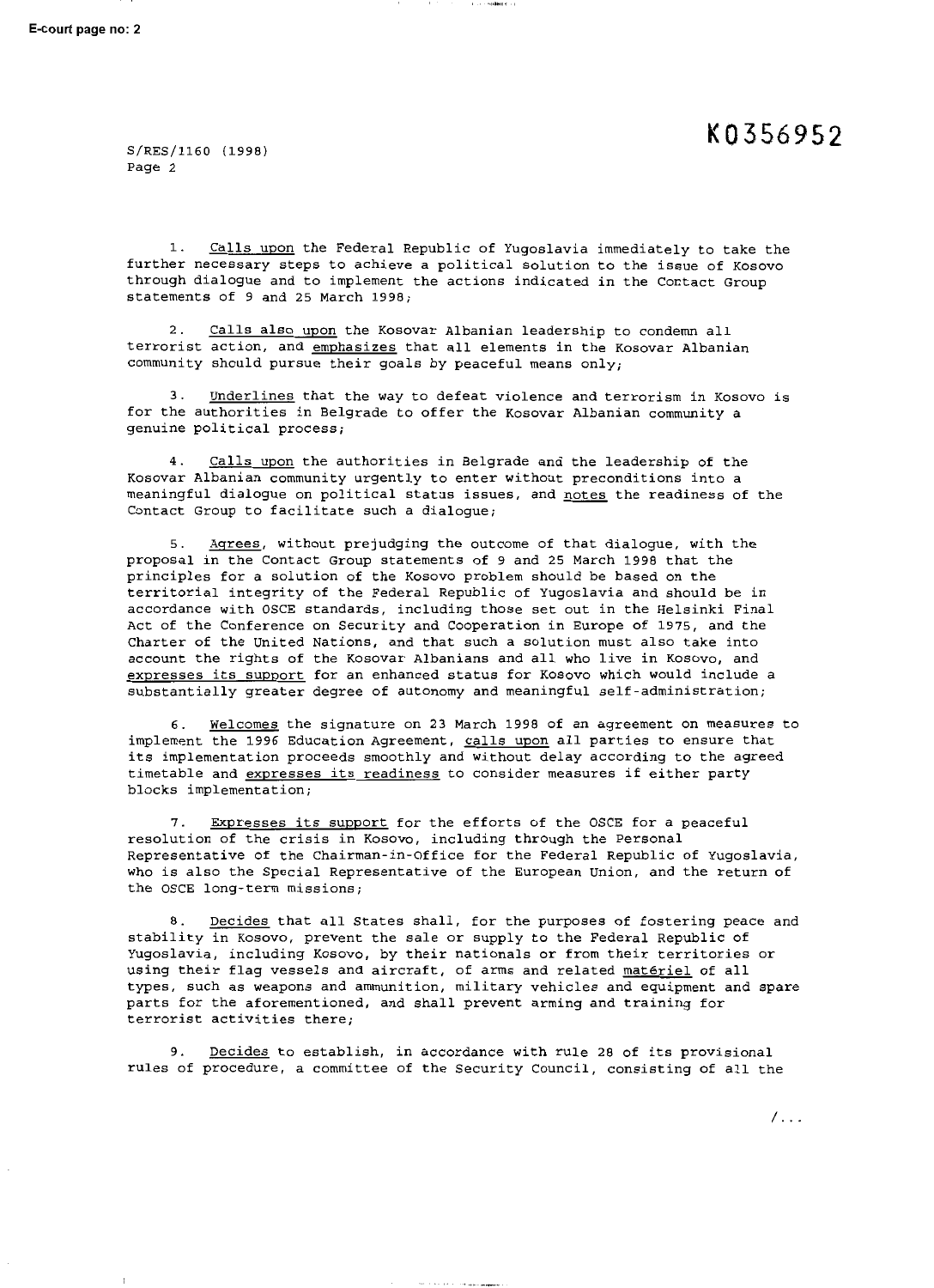S/RES/1160 (1998) Page 2

1. Calls upon the Federal Republic of Yugoslavia immediately to take the further necessary steps to achieve a political solution to the issue of Kosovo through dialogue and to implement the actions indicated in the Contact Group statements of 9 and 25 March 1998;

2. Calls also upon the Kosovar Albanian leadership to condemn all terrorist action, and emphasizes that all elements in the Kosovar Albanian community should pursue their goals by peaceful means only;

Underlines that the way to defeat violence and terrorism in Kosovo is for the authorities in Belgrade to offer the Kosovar Albanian community a genuine political process;

4. Calls upon the authorities in Belgrade and the leadership of the Kosovar Albanian community urgently to enter without preconditions into a meaningful dialogue on political status issues, and notes the readiness of the Contact Group to facilitate such a dialogue;

5. Agrees, without prejudging the outcome of that dialogue, with the proposal in the Contact Group statements of 9 and 25 March 1998 that the principles for a solution of the Kosovo problem should be based on the territorial integrity of the Federal Republic of Yugoslavia and should be in accordance with OSCE standards, including those set out in the Helsinki Final Act of the Conference on Security and Cooperation in Europe of 1975, and the Charter of the United Nations, and that such a solution must also take into account the rights of the Kosovar Albanians and all who live in Kosovo, and expresses its support for an enhanced status for Kosovo which would include a substantially greater degree of autonomy and meaningful self-administration;

6. Welcomes the signature on 23 March 1998 of an agreement on measures to implement the 1996 Education Agreement, calls upon all parties to ensure that its implementation proceeds smoothly and without delay according to the agreed timetable and expresses its readiness to consider measures if either party blocks implementation;

Expresses its support for the efforts of the OSCE for a peaceful resolution of the crisis in Kosovo, including through the Personal Representative of the Chairman-in-Office for the Federal Republic of Yugoslavia, who is also the Special Representative of the European Union, and the return of the OSCE long-term missions;

8. Decides that all States shall, for the purposes of fostering peace and stability in Kosovo, prevent the sale or supply to the Federal Republic of Yugoslavia, including Kosovo, by their nationals or from their territories or using their flag vessels and aircraft, of arms and related materiel of all types, such as weapons and ammunition, military vehicles and equipment and spare parts for the aforementioned, and shall prevent arming and training for **terrorist activities there;** 

9. Decides to establish, in accordance with rule 28 of its provisional rules of procedure, a committee of the Security Council, consisting of all the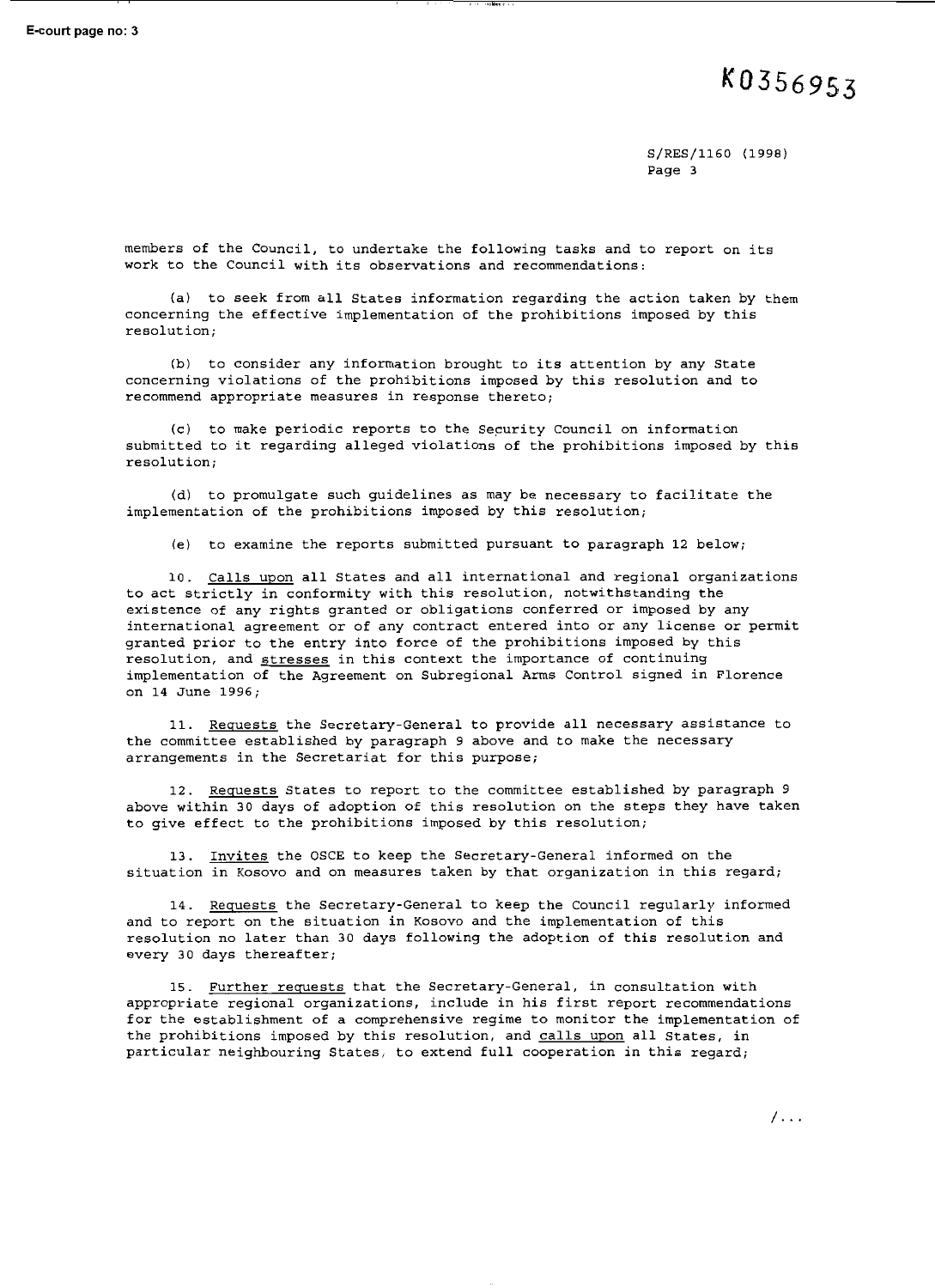S/RES/1160 (1998) Page 3

members of the Council, to undertake the following tasks and to report on its work to the Council with its observations and recommendations:

(a) to seek from all States information regarding the action taken by them concerning the effective implementation of the prohibitions imposed by this **resolution;** 

(b) to consider any information brought to its attention by any State concerning violations of the prohibitions imposed by this resolution and to recommend appropriate measures in response thereto;

(c) to make periodic reports to the Security Council on information submitted to it regarding alleged violations of the prohibitions imposed by this **resolution;** 

(d) to promulgate such guidelines as may be necessary to facilitate the implementation of the prohibitions imposed by this resolution;

(e) to examine the reports submitted pursuant to paragraph 12 below;

10. Calls upon all States and all international and regional organizations to act strictly in conformity with this resolution, notwithstanding the existence of any rights granted or obligations conferred or imposed by any international agreement or of any contract entered into or any license or permit granted prior to the entry into force of the prohibitions imposed by this resolution, and stresses in this context the importance of continuing implementation of the Agreement on Subregional Arms Control signed in Florence on 14 June 1996;

11. Requests the Secretary-General to provide all necessary assistance to the committee established by paragraph 9 above and to make the necessary arrangements in the Secretariat for this purpose;

12. Requests States to report to the committee established by paragraph 9 above within 30 days of adoption of this resolution on the steps they have taken to give effect to the prohibitions imposed by this resolution;

13. Invites the OSCE to keep the Secretary-General informed on the situation in Kosovo and on measures taken by that organization in this regard;

14. Requests the Secretary-General to keep the Council regularly informed and to report on the situation in Kosovo and the implementation of this resolution no later than 30 days following the adoption of this resolution and every 30 days thereafter;

15. Further requests that the Secretary-General, in consultation with appropriate regional organizations, include in his first report recommendations for the establishment of a comprehensive regime to monitor the implementation of the prohibitions imposed by this resolution, and calls upon all States, in particular neighbouring States, to extend full cooperation in this regard;

*I ...*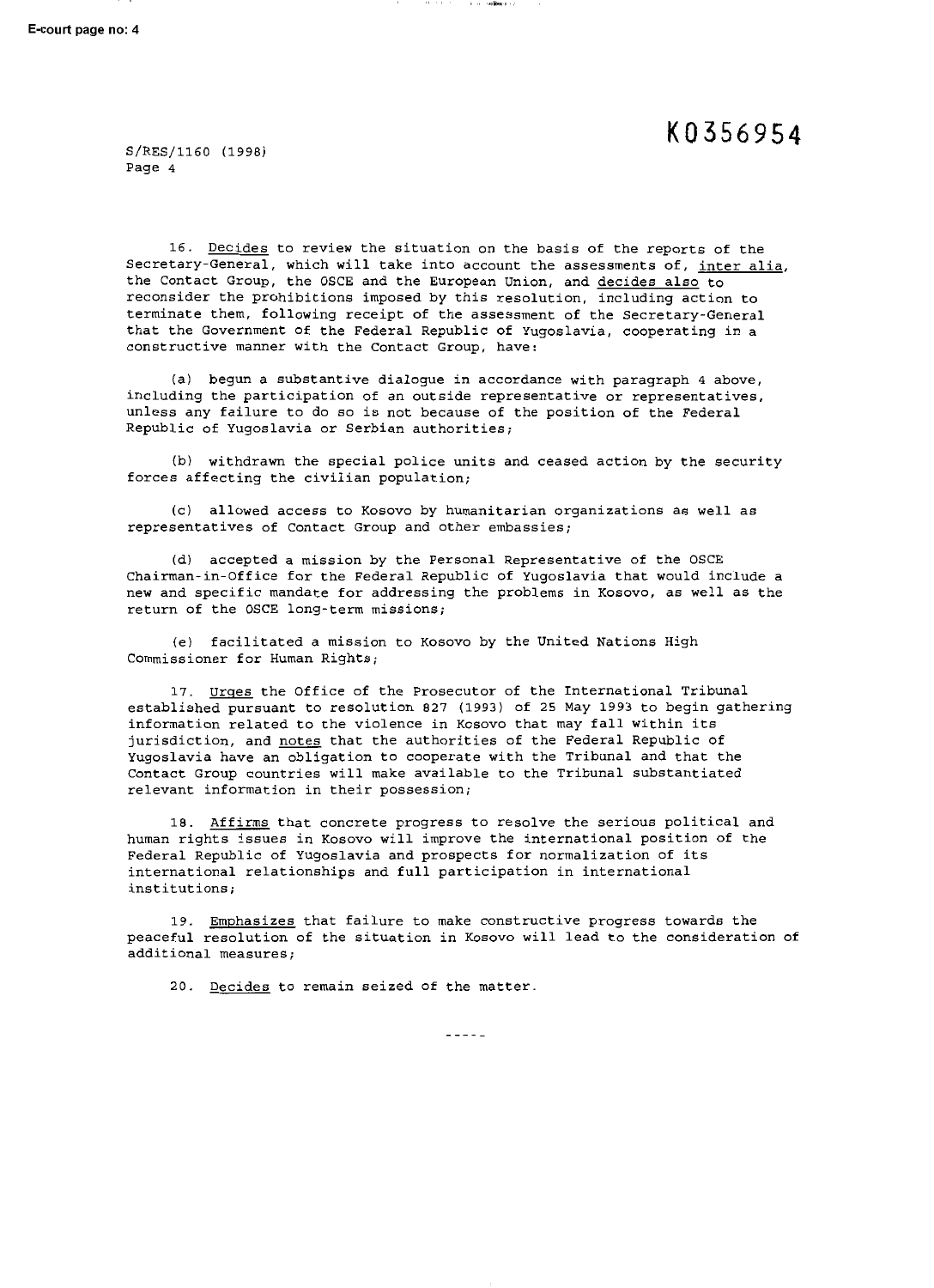S/RES/1160 (1998) Page 4

16. Decides to review the situation on the basis of the reports of the Secretary-General, which will take into account the assessments of, inter alia, the Contact Group, the OSCE and the European Union, and decides also to reconsider the prohibitions imposed by this resolution, including action to terminate them, following receipt of the assessment of the Secretary-General that the Government of the Federal Republic of Yugoslavia, cooperating in a constructive manner with the Contact Group, have:

'"~~OI I

(a) begun a substantive dialogue in accordance with paragraph 4 above, including the participation of an outside representative or representatives, unless any failure to do so is not because of the position of the Federal Republic of Yugoslavia or Serbian authorities;

(b) withdrawn the special police units and ceased action by the security forces affecting the civilian population;

(c) allowed access to Kosovo by humanitarian organizations as well as representatives of Contact Group and other embassies;

(d) accepted a mission by the Personal Representative of the OSCE Chairman-in-Office for the Federal Republic of Yugoslavia that would include a new and specific mandate for addressing the problems in Kosovo, as well as the return of the OSCE long-term missions;

(e) facilitated a mission to Kosovo by the United Nations High Commissioner for Human Rights;

17. Urges the Office of the Prosecutor of the International Tribunal established pursuant to resolution 827 (1993) of 25 May 1993 to begin gathering information related to the violence in Kosovo that may fall within its jurisdiction, and notes that the authorities of the Federal Republic of Yugoslavia have an obligation to cooperate with the Tribunal and that the Contact Group countries will make available to the Tribunal substantiated relevant information in their possession;

18. Affirms that concrete progress to resolve the serious political and human rights issues in Kosovo will improve the international position of the Federal Republic of Yugoslavia and prospects for normalization of its international relationships and full participation in international **institutions;** 

19. Emphasizes that failure to make constructive progress towards the peaceful resolution of the situation in Kosovo will lead to the consideration of **additional measures;** 

20. Decides to remain seized of the matter.

-----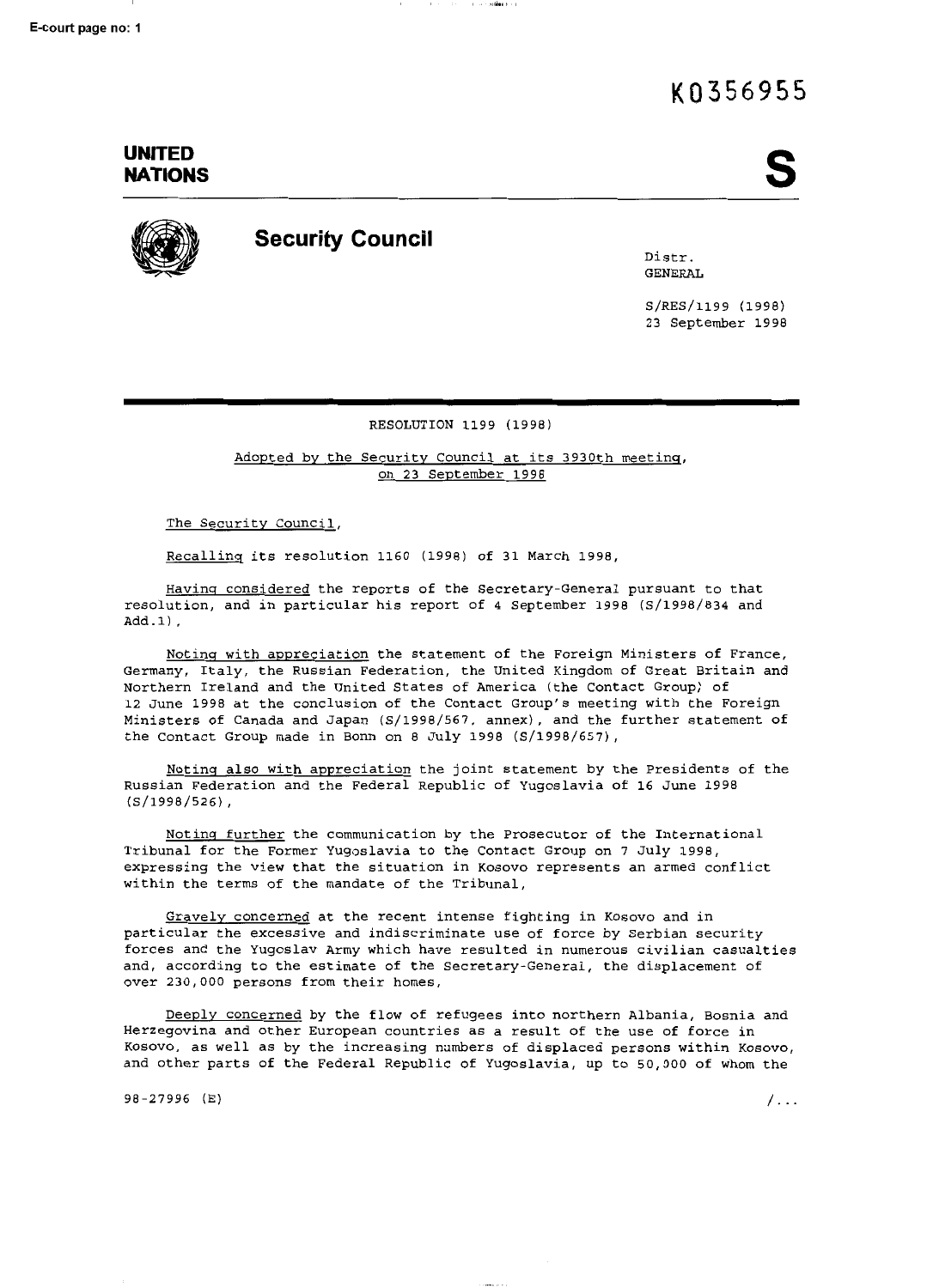#### **UNITED NATIONS**

**s** 



• **Security Council** 

Distr. GENERAL

S/RES/1199 (1998) 23 September 1998

#### RESOLUTION 1199 (1998)

Adopted by the Security Council at its 3930th meeting, on 23 September 1998

The Security Council,

Recalling its resolution 1160 (1998) of 31 March 1998,

Having considered the reports of the Secretary-General pursuant to that resolution, and in particular his report of 4 September 1998 (S/1998/834 and Add.1),

Noting with appreciation the statement of the Foreign Ministers of France, Germany, Italy, the Russian Federation, the United Kingdom of Great Britain and Northern Ireland and the United States of America (the Contact Group) of 12 June 1998 at the conclusion of the Contact Group's meeting with the Foreign Ministers of Canada and Japan (S/1998/567, annex), and the further statement of the Contact Group made in Bonn on 8 July 1998 (S/1998/657),

Noting also with appreciation the joint statement by the Presidents of the Russian Federation and the Federal Republic of Yugoslavia of 16 June 1998 (S/1998/526),

Noting further the communication by the Prosecutor of the International Tribunal for the Former Yugoslavia to the Contact Group on 7 July 1998, expressing the view that the situation in Kosovo represents an armed conflict within the terms of the mandate of the Tribunal,

Gravely concerned at the recent intense fighting in Kosovo and in particular the excessive and indiscriminate use of force by Serbian security forces and the Yugoslav Army which have resulted in numerous civilian casualties and, according to the estimate of the Secretary-General, the displacement of over 230,000 persons from their homes,

Deeply concerned by the flow of refugees into northern Albania, Bosnia and Herzegovina and other European countries as a result of the use of force in Kosovo, as well as by the increasing numbers of displaced persons within Kosovo, and other parts of the Federal Republic of Yugoslavia, up to 50,000 of whom the

98-27996 (E) *I ...*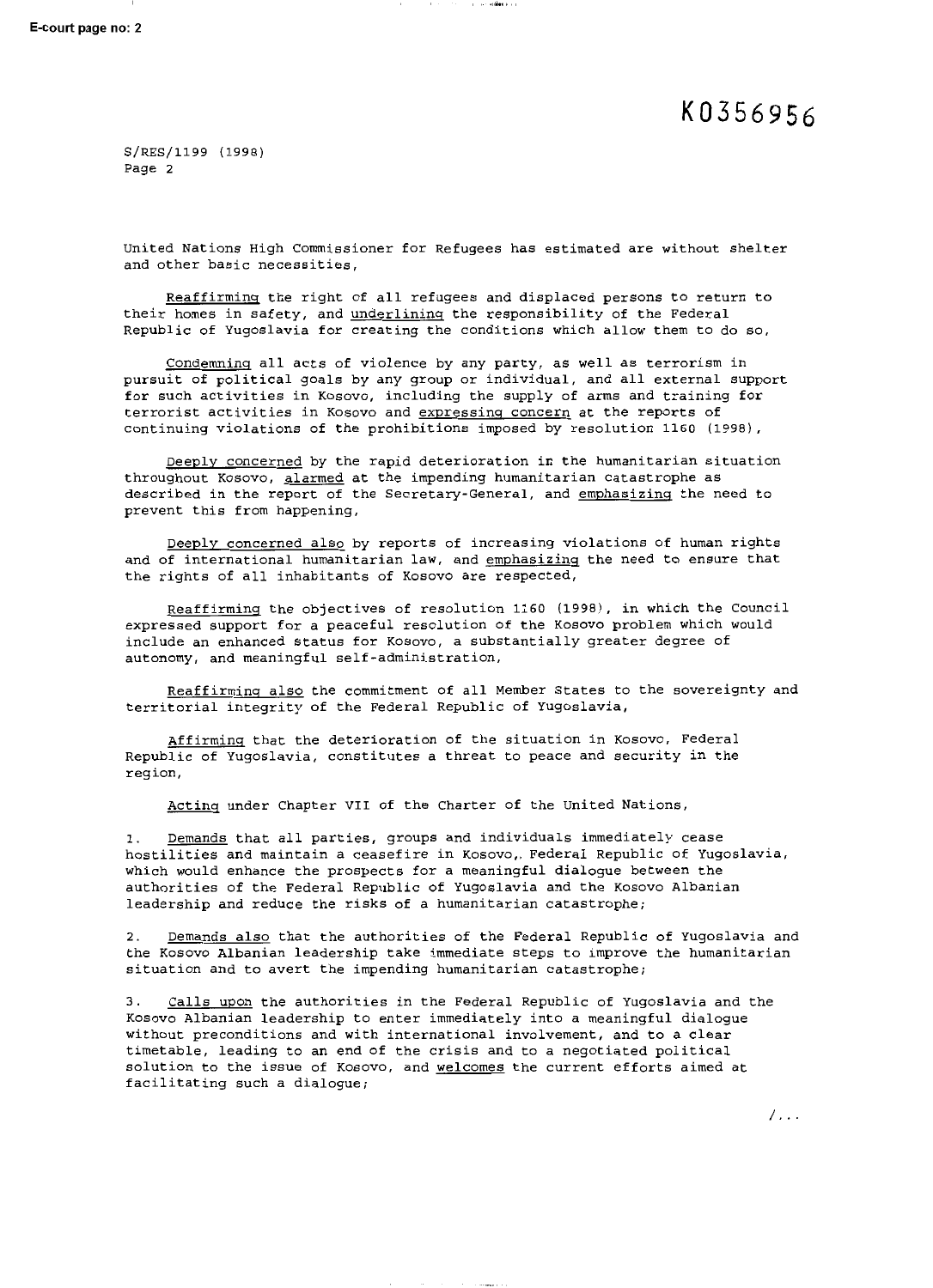S/RES/1199 (1998) Page 2

United Nations High Commissioner for Refugees has estimated are without shelter and other basic necessities,

i e moblema a i

Reaffirming the right of all refugees and displaced persons to return to their homes in safety, and underlining the responsibility of the Federal Republic of Yugoslavia for creating the conditions which allow them to do so,

Condemning all acts of violence by any party, as well as terrorism in pursuit of political goals by any group or individual, and all external support for such activities in Kosovo, including the supply of arms and training for terrorist activities in Kosovo and expressing concern at the reports of continuing violations of the prohibitions imposed by resolution 1160 (1998),

Deeply concerned by the rapid deterioration in the humanitarian situation throughout Kosovo, alarmed at the impending humanitarian catastrophe as described in the report of the Secretary-General, and emphasizing the need to prevent this from happening,

Deeply concerned also by reports of increasing violations of human rights and of international humanitarian law, and emphasizing the need to ensure that the rights of all inhabitants of Kosovo are respected,

Reaffirming the objectives of resolution 1160 (1998), in which the Council expressed support for a peaceful resolution of the Kosovo problem which would include an enhanced status for Kosovo, a substantially greater degree of autonomy, and meaningful self-administration,

Reaffirming also the commitment of all Member States to the sovereignty and territorial integrity of the Federal Republic of Yugoslavia,

Affirming that the deterioration of the situation in Kosovo, Federal Republic of Yugoslavia, constitutes a threat to peace and security in the **region,** 

Acting under Chapter VII of the Charter of the United Nations,

1. Demands that all parties, groups and individuals immediately cease hostilities and maintain a ceasefire in Kosovo,, Federal Republic of Yugoslavia, which would enhance the prospects for a meaningful dialogue between the authorities of the Federal Republic of Yugoslavia and the Kosovo Albanian leadership and reduce the risks of a humanitarian catastrophe;

2. Demands also that the authorities of the Federal Republic of Yugoslavia and the Kosovo Albanian leadership take immediate steps to improve the humanitarian situation and to avert the impending humanitarian catastrophe;

3. Calls upon the authorities in the Federal Republic of Yugoslavia and the Kosovo Albanian leadership to enter immediately into a meaningful dialogue without preconditions and with international involvement, and to a clear timetable, leading to an end of the crisis and to a negotiated political solution to the issue of Kosovo, and welcomes the current efforts aimed at facilitating such a dialogue;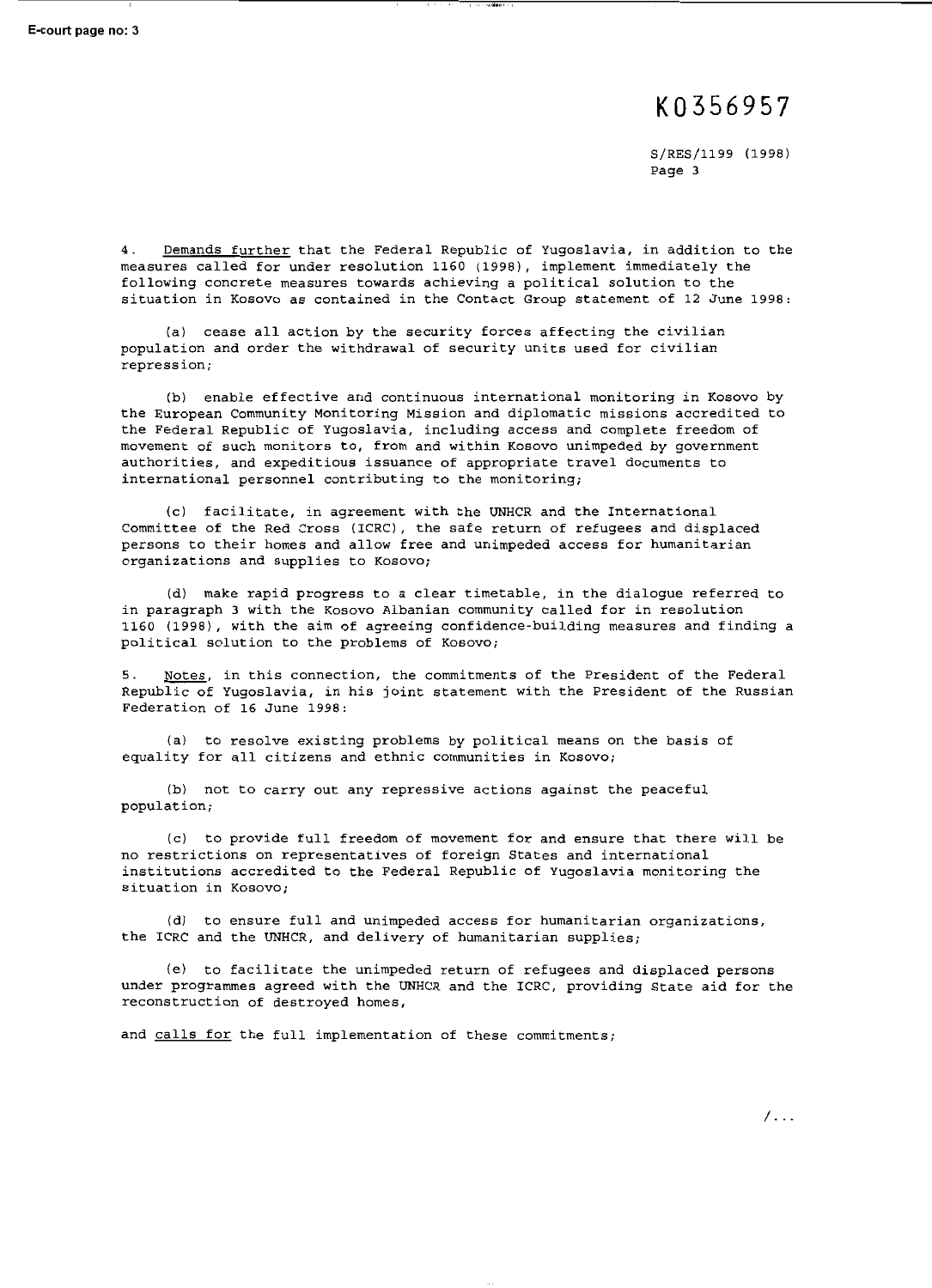S/RES/1199 (1998) Page 3

4. Demands further that the Federal Republic of Yugoslavia, in addition to the measures called for under resolution 1160 (1998), implement immediately the following concrete measures towards achieving a political solution to the situation in Kosovo as contained in the Contact Group statement of 12 June 1998:

(a) cease all action by the security forces affecting the civilian population and order the withdrawal of security units used for civilian **repression;** 

(b) enable effective and continuous international monitoring in Kosovo by the European Community Monitoring Mission and diplomatic missions accredited to the Federal Republic of Yugoslavia, including access and complete freedom of movement of such monitors to, from and within Kosovo unimpeded by government authorities, and expeditious issuance of appropriate travel documents to international personnel contributing to the monitoring;

(c) facilitate, in agreement with the UNHCR and the International Committee of the Red Cross (ICRC), the safe return of refugees and displaced persons to their homes and allow free and unimpeded access for humanitarian organizations and supplies to Kosovo;

(d) make rapid progress to a clear timetable, in the dialogue referred to in paragraph 3 with the Kosovo Albanian community called for in resolution 1160 (1998), with the aim of agreeing confidence-building measures and finding a political solution to the problems of Kosovo;

Notes, in this connection, the commitments of the President of the Federal Republic of Yugoslavia, in his joint statement with the President of the Russian Federation of 16 June 1998:

(a) to resolve existing problems by political means on the basis of equality for all citizens and ethnic communities in Kosovo;

(b) not to carry out any repressive actions against the peaceful population;

(c) to provide full freedom of movement for and ensure that there will be no restrictions on representatives of foreign States and international institutions accredited to the Federal Republic of Yugoslavia monitoring the **situation in Kosovo;** 

(d) to ensure full and unimpeded access for humanitarian organizations, the ICRC and the UNHCR, and delivery of humanitarian supplies;

(e) to facilitate the unimpeded return of refugees and displaced persons under programmes agreed with the UNHCR and the ICRC, providing State aid for the reconstruction of destroyed homes,

and calls for the full implementation of these commitments;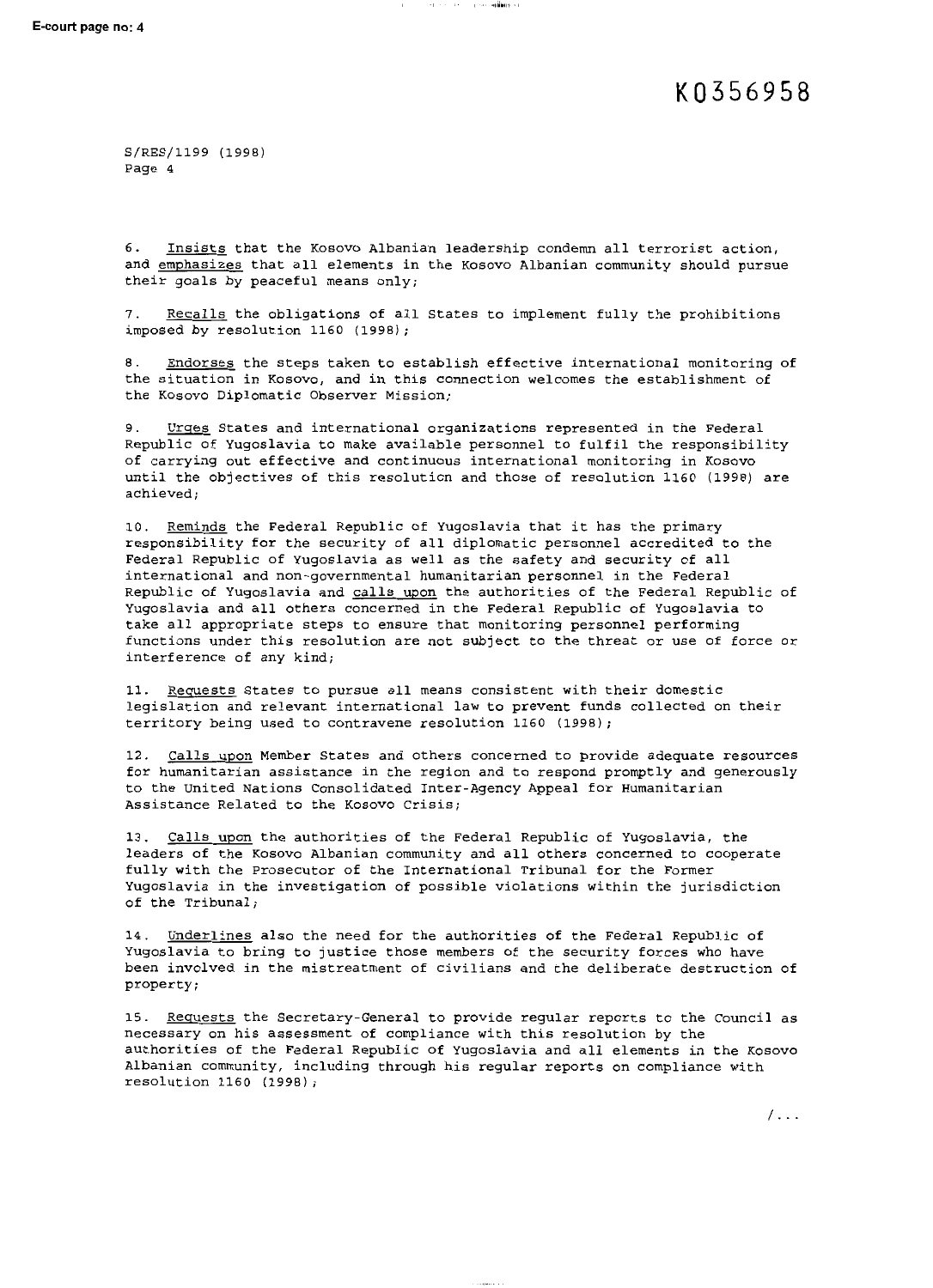S/RES/1199 (1998) Page 4

6. Insists that the Kosovo Albanian leadership condemn all terrorist action, and emphasizes that all elements in the Kosovo Albanian community should pursue their goals by peaceful means only;

the control of the subject of

7. Recalls the obligations of all States to implement fully the prohibitions imposed by resolution 1160 (1998);

8. Endorses the steps taken to establish effective international monitoring of the situation in Kosovo, and in this connection welcomes the establishment of the Kosovo Diplomatic Observer Mission;

9. Urges States and international organizations represented in the Federal Republic of Yugoslavia to make available personnel to fulfil the responsibility of carrying out effective and continuous international monitoring in Kosovo until the objectives of this resolution and those of resolution 1160 (1998) are **achieved;** 

10. Reminds the Federal Republic of Yugoslavia that it has the primary responsibility for the security of all diplomatic personnel accredited to the Federal Republic of Yugoslavia as well as the safety and security of all international and non-governmental humanitarian personnel in the Federal Republic of Yugoslavia and calls upon the authorities of the Federal Republic of Yugoslavia and all others concerned in the Federal Republic of Yugoslavia to take all appropriate steps to ensure that monitoring personnel performing functions under this resolution are not subject to the threat or use of force or interference of any kind;

11. Requests States to pursue all means consistent with their domestic legislation and relevant international law to prevent funds collected on their territory being used to contravene resolution 1160 (1998);

12. Calls upon Member States and others concerned to provide adequate resources for humanitarian assistance in the region and to respond promptly and generously to the United Nations Consolidated Inter-Agency Appeal for Humanitarian Assistance Related to the Kosovo Crisis;

13. Calls upon the authorities of the Federal Republic of Yugoslavia, the leaders of the Kosovo Albanian community and all others concerned to cooperate fully with the Prosecutor of the International Tribunal for the Former Yugoslavia in the investigation of possible violations within the jurisdiction of the Tribunal;

14. Underlines also the need for the authorities of the Federal Republic of Yugoslavia to bring to justice those members of the security forces who have been involved in the mistreatment of civilians and the deliberate destruction of property;

15. Requests the Secretary-General to provide regular reports to the Council as necessary on his assessment of compliance with this resolution by the authorities of the Federal Republic of Yugoslavia and all elements in the Kosovo Albanian community, including through his regular reports on compliance with resolution 1160 (1998);

*I ...*